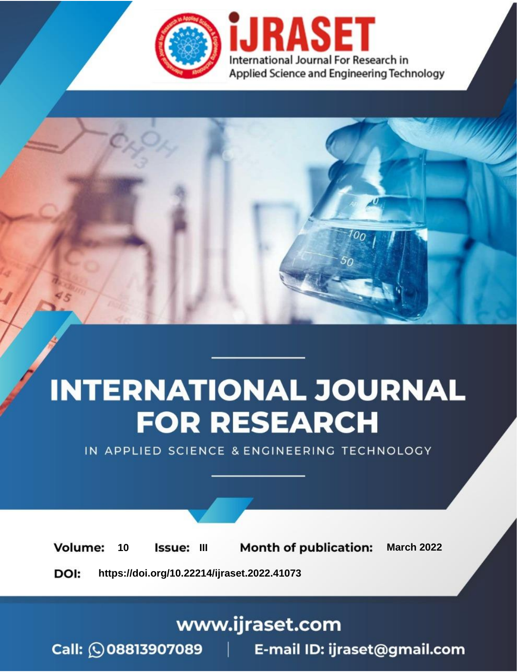

# **INTERNATIONAL JOURNAL FOR RESEARCH**

IN APPLIED SCIENCE & ENGINEERING TECHNOLOGY

**Month of publication: Volume:** 10 **Issue: III March 2022** DOI: https://doi.org/10.22214/ijraset.2022.41073

www.ijraset.com

Call: 008813907089 | E-mail ID: ijraset@gmail.com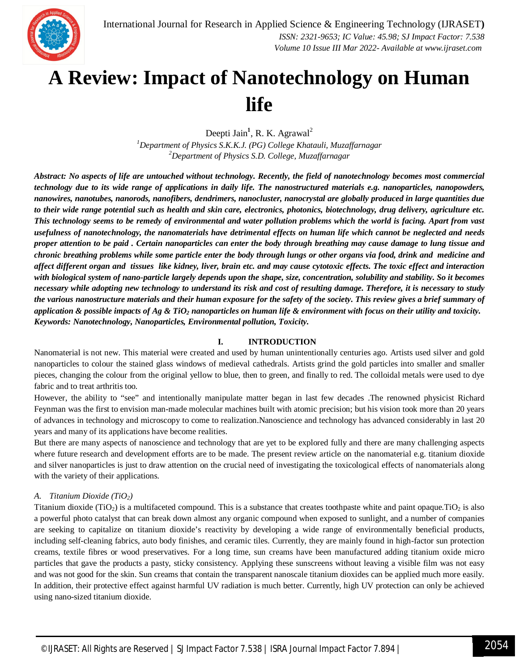

### **A Review: Impact of Nanotechnology on Human life**

Deepti Jain<sup>1</sup>, R. K. Agrawal<sup>2</sup> *<sup>1</sup>Department of Physics S.K.K.J. (PG) College Khatauli, Muzaffarnagar <sup>2</sup>Department of Physics S.D. College, Muzaffarnagar*

*Abstract: No aspects of life are untouched without technology. Recently, the field of nanotechnology becomes most commercial technology due to its wide range of applications in daily life. The nanostructured materials e.g. nanoparticles, nanopowders, nanowires, nanotubes, nanorods, nanofibers, dendrimers, nanocluster, nanocrystal are globally produced in large quantities due to their wide range potential such as health and skin care, electronics, photonics, biotechnology, drug delivery, agriculture etc. This technology seems to be remedy of environmental and water pollution problems which the world is facing. Apart from vast usefulness of nanotechnology, the nanomaterials have detrimental effects on human life which cannot be neglected and needs proper attention to be paid . Certain nanoparticles can enter the body through breathing may cause damage to lung tissue and chronic breathing problems while some particle enter the body through lungs or other organs via food, drink and medicine and affect different organ and tissues like kidney, liver, brain etc. and may cause cytotoxic effects. The toxic effect and interaction with biological system of nano-particle largely depends upon the shape, size, concentration, solubility and stability. So it becomes necessary while adopting new technology to understand its risk and cost of resulting damage. Therefore, it is necessary to study the various nanostructure materials and their human exposure for the safety of the society. This review gives a brief summary of application & possible impacts of Ag & TiO<sup>2</sup> nanoparticles on human life & environment with focus on their utility and toxicity. Keywords: Nanotechnology, Nanoparticles, Environmental pollution, Toxicity.*

#### **I. INTRODUCTION**

Nanomaterial is not new. This material were created and used by human unintentionally centuries ago. Artists used silver and gold nanoparticles to colour the stained glass windows of medieval cathedrals. Artists grind the gold particles into smaller and smaller pieces, changing the colour from the original yellow to blue, then to green, and finally to red. The colloidal metals were used to dye fabric and to treat arthritis too.

However, the ability to "see" and intentionally manipulate matter began in last few decades .The renowned physicist Richard Feynman was the first to envision man-made molecular machines built with atomic precision; but his vision took more than 20 years of advances in technology and microscopy to come to realization.Nanoscience and technology has advanced considerably in last 20 years and many of its applications have become realities.

But there are many aspects of nanoscience and technology that are yet to be explored fully and there are many challenging aspects where future research and development efforts are to be made. The present review article on the nanomaterial e.g. titanium dioxide and silver nanoparticles is just to draw attention on the crucial need of investigating the toxicological effects of nanomaterials along with the variety of their applications.

#### *A. Titanium Dioxide (TiO2)*

Titanium dioxide (TiO<sub>2</sub>) is a multifaceted compound. This is a substance that creates toothpaste white and paint opaque.TiO<sub>2</sub> is also a powerful photo catalyst that can break down almost any organic compound when exposed to sunlight, and a number of companies are seeking to capitalize on titanium dioxide's reactivity by developing a wide range of environmentally beneficial products, including self-cleaning fabrics, auto body finishes, and ceramic tiles. Currently, they are mainly found in high-factor sun protection creams, textile fibres or wood preservatives. For a long time, sun creams have been manufactured adding titanium oxide micro particles that gave the products a pasty, sticky consistency. Applying these sunscreens without leaving a visible film was not easy and was not good for the skin. Sun creams that contain the transparent nanoscale titanium dioxides can be applied much more easily. In addition, their protective effect against harmful UV radiation is much better. Currently, high UV protection can only be achieved using nano-sized titanium dioxide.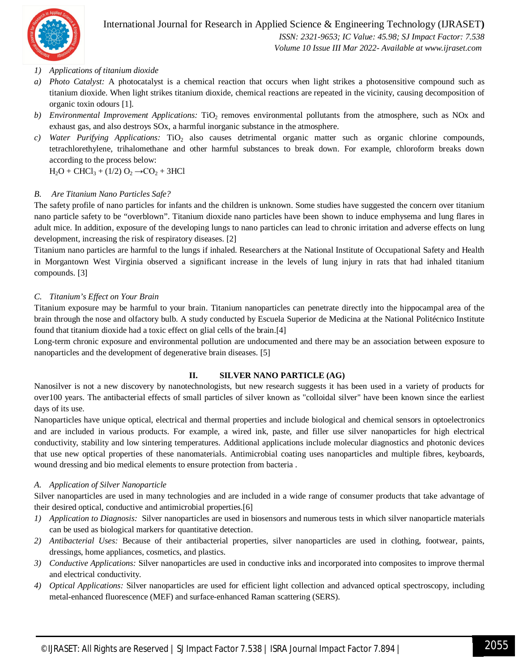

International Journal for Research in Applied Science & Engineering Technology (IJRASET**)**  *ISSN: 2321-9653; IC Value: 45.98; SJ Impact Factor: 7.538*

 *Volume 10 Issue III Mar 2022- Available at www.ijraset.com*

#### *1) Applications of titanium dioxide*

- *a) Photo Catalyst:* A photocatalyst is a chemical reaction that occurs when light strikes a photosensitive compound such as titanium dioxide. When light strikes titanium dioxide, chemical reactions are repeated in the vicinity, causing decomposition of organic toxin odours [1].
- *b) Environmental Improvement Applications:* TiO<sub>2</sub> removes environmental pollutants from the atmosphere, such as NOx and exhaust gas, and also destroys SOx, a harmful inorganic substance in the atmosphere.
- *c*) *Water Purifying Applications:* TiO<sub>2</sub> also causes detrimental organic matter such as organic chlorine compounds, tetrachlorethylene, trihalomethane and other harmful substances to break down. For example, chloroform breaks down according to the process below:

 $H_2O + CHCl_3 + (1/2) O_2 \rightarrow CO_2 + 3HCl$ 

#### *B. Are Titanium Nano Particles Safe?*

The safety profile of nano particles for infants and the children is unknown. Some studies have suggested the concern over titanium nano particle safety to be "overblown". Titanium dioxide nano particles have been shown to induce emphysema and lung flares in adult mice. In addition, exposure of the developing lungs to nano particles can lead to chronic irritation and adverse effects on lung development, increasing the risk of respiratory diseases. [2]

Titanium nano particles are harmful to the lungs if inhaled. Researchers at the National Institute of Occupational Safety and Health in Morgantown West Virginia observed a significant increase in the levels of lung injury in rats that had inhaled titanium compounds. [3]

#### *C. Titanium's Effect on Your Brain*

Titanium exposure may be harmful to your brain. Titanium nanoparticles can penetrate directly into the hippocampal area of the brain through the nose and olfactory bulb. A study conducted by Escuela Superior de Medicina at the National Politécnico Institute found that titanium dioxide had a toxic effect on glial cells of the brain.[4]

Long-term chronic exposure and environmental pollution are undocumented and there may be an association between exposure to nanoparticles and the development of degenerative brain diseases. [5]

#### **II. SILVER NANO PARTICLE (AG)**

Nanosilver is not a new discovery by nanotechnologists, but new research suggests it has been used in a variety of products for over100 years. The antibacterial effects of small particles of silver known as "colloidal silver" have been known since the earliest days of its use.

Nanoparticles have unique optical, electrical and thermal properties and include biological and chemical sensors in optoelectronics and are included in various products. For example, a wired ink, paste, and filler use silver nanoparticles for high electrical conductivity, stability and low sintering temperatures. Additional applications include molecular diagnostics and photonic devices that use new optical properties of these nanomaterials. Antimicrobial coating uses nanoparticles and multiple fibres, keyboards, wound dressing and bio medical elements to ensure protection from bacteria .

#### *A. Application of Silver Nanoparticle*

Silver nanoparticles are used in many technologies and are included in a wide range of consumer products that take advantage of their desired optical, conductive and antimicrobial properties.[6]

- *1) Application to Diagnosis:* Silver nanoparticles are used in biosensors and numerous tests in which silver nanoparticle materials can be used as biological markers for quantitative detection.
- *2) Antibacterial Uses:* Because of their antibacterial properties, silver nanoparticles are used in clothing, footwear, paints, dressings, home appliances, cosmetics, and plastics.
- *3) Conductive Applications:* Silver nanoparticles are used in conductive inks and incorporated into composites to improve thermal and electrical conductivity.
- *4) Optical Applications:* Silver nanoparticles are used for efficient light collection and advanced optical spectroscopy, including metal-enhanced fluorescence (MEF) and surface-enhanced Raman scattering (SERS).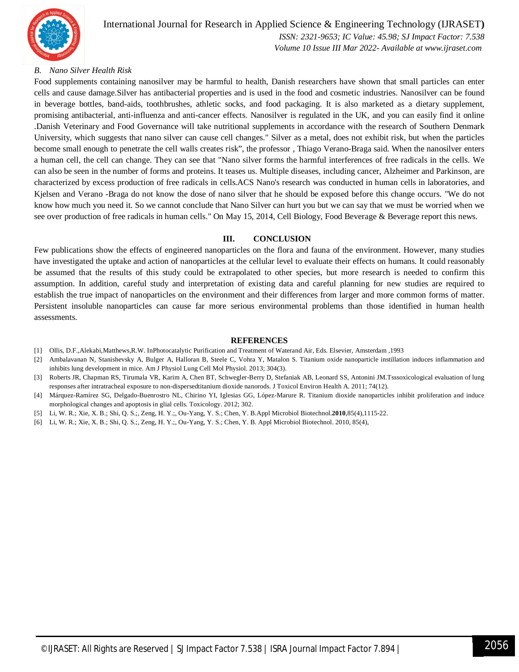

#### *B. Nano Silver Health Risk*

Food supplements containing nanosilver may be harmful to health, Danish researchers have shown that small particles can enter cells and cause damage.Silver has antibacterial properties and is used in the food and cosmetic industries. Nanosilver can be found in beverage bottles, band-aids, toothbrushes, athletic socks, and food packaging. It is also marketed as a dietary supplement, promising antibacterial, anti-influenza and anti-cancer effects. Nanosilver is regulated in the UK, and you can easily find it online .Danish Veterinary and Food Governance will take nutritional supplements in accordance with the research of Southern Denmark University, which suggests that nano silver can cause cell changes." Silver as a metal, does not exhibit risk, but when the particles become small enough to penetrate the cell walls creates risk", the professor , Thiago Verano-Braga said. When the nanosilver enters a human cell, the cell can change. They can see that "Nano silver forms the harmful interferences of free radicals in the cells. We can also be seen in the number of forms and proteins. It teases us. Multiple diseases, including cancer, Alzheimer and Parkinson, are characterized by excess production of free radicals in cells.ACS Nano's research was conducted in human cells in laboratories, and Kjelsen and Verano -Braga do not know the dose of nano silver that he should be exposed before this change occurs. "We do not know how much you need it. So we cannot conclude that Nano Silver can hurt you but we can say that we must be worried when we see over production of free radicals in human cells." On May 15, 2014, Cell Biology, Food Beverage & Beverage report this news.

#### **III. CONCLUSION**

Few publications show the effects of engineered nanoparticles on the flora and fauna of the environment. However, many studies have investigated the uptake and action of nanoparticles at the cellular level to evaluate their effects on humans. It could reasonably be assumed that the results of this study could be extrapolated to other species, but more research is needed to confirm this assumption. In addition, careful study and interpretation of existing data and careful planning for new studies are required to establish the true impact of nanoparticles on the environment and their differences from larger and more common forms of matter. Persistent insoluble nanoparticles can cause far more serious environmental problems than those identified in human health assessments.

#### **REFERENCES**

- [1] Ollis, D.F.,Alekabi,Matthews,R.W. InPhotocatalytic Purification and Treatment of Waterand Air, Eds. Elsevier, Amsterdam ,1993
- [2] Ambalavanan N, Stanishevsky A, Bulger A, Halloran B, Steele C, Vohra Y, Matalon S. Titanium oxide nanoparticle instillation induces inflammation and inhibits lung development in mice. Am J Physiol Lung Cell Mol Physiol. 2013; 304(3).
- [3] Roberts JR, Chapman RS, Tirumala VR, Karim A, Chen BT, Schwegler-Berry D, Stefaniak AB, Leonard SS, Antonini JM.Tsssoxicological evaluation of lung responses after intratracheal exposure to non-dispersedtitanium dioxide nanorods. J Toxicol Environ Health A. 2011; 74(12).
- [4] Márquez-Ramírez SG, Delgado-Buenrostro NL, Chirino YI, Iglesias GG, López-Marure R. Titanium dioxide nanoparticles inhibit proliferation and induce morphological changes and apoptosis in glial cells. Toxicology. 2012; 302.
- [5] Li, W. R.; Xie, X. B.; Shi, Q. S.;, Zeng, H. Y.;, Ou-Yang, Y. S.; Chen, Y. B.Appl Microbiol Biotechnol.**2010**,85(4),1115-22.
- [6] Li, W. R.; Xie, X. B.; Shi, Q. S.;, Zeng, H. Y.;, Ou-Yang, Y. S.; Chen, Y. B. Appl Microbiol Biotechnol. 2010, 85(4),